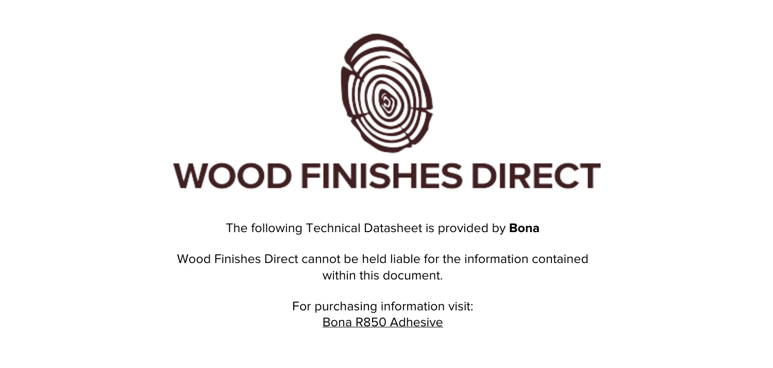

The following Technical Datasheet is provided by **Bona**

Wood Finishes Direct cannot be held liable for the information contained within this document.

> For purchasing information visit: [Bona R850 Adhesive](https://www.wood-finishes-direct.com/product/bona-r850)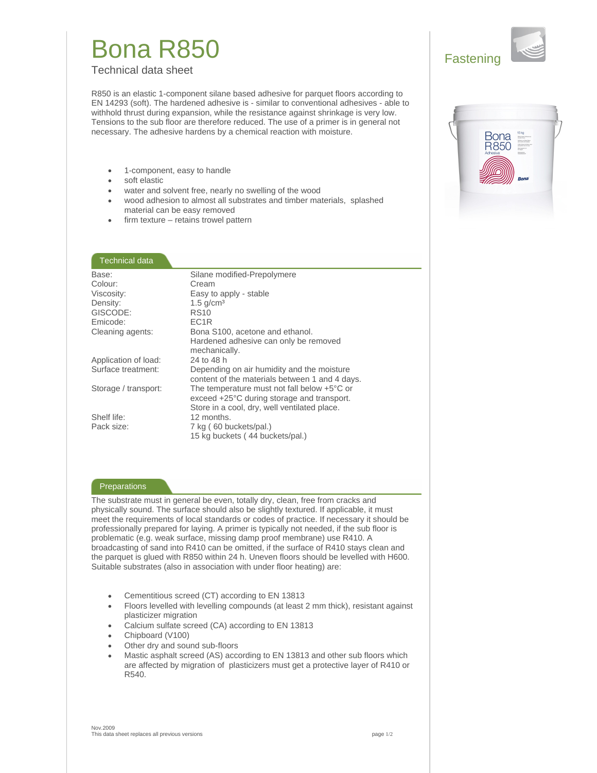## **Bona R850**

**Technical data sheet** 

R850 is an elastic 1-component silane based adhesive for parquet floors according to EN 14293 (soft). The hardened adhesive is - similar to conventional adhesives - able to withhold thrust during expansion, while the resistance against shrinkage is very low. Tensions to the sub floor are therefore reduced. The use of a primer is in general not necessary. The adhesive hardens by a chemical reaction with moisture.

- 1-component, easy to handle  $\bullet$
- soft elastic
- water and solvent free, nearly no swelling of the wood
- wood adhesion to almost all substrates and timber materials, splashed material can be easy removed
- firm texture retains trowel pattern

### Technical data

| Base:                | Silane modified-Prepolymere                           |
|----------------------|-------------------------------------------------------|
| Colour:              | Cream                                                 |
| Viscosity:           | Easy to apply - stable                                |
| Density:             | $1.5$ g/cm <sup>3</sup>                               |
| GISCODE:             | <b>RS10</b>                                           |
| Emicode:             | FC <sub>1R</sub>                                      |
| Cleaning agents:     | Bona S100, acetone and ethanol.                       |
|                      | Hardened adhesive can only be removed                 |
|                      | mechanically.                                         |
| Application of load: | 24 to 48 h                                            |
| Surface treatment:   | Depending on air humidity and the moisture            |
|                      | content of the materials between 1 and 4 days.        |
| Storage / transport: | The temperature must not fall below $+5^{\circ}$ C or |
|                      | exceed +25°C during storage and transport.            |
|                      | Store in a cool, dry, well ventilated place.          |
| Shelf life:          | 12 months.                                            |
| Pack size:           | 7 kg (60 buckets/pal.)                                |
|                      | 15 kg buckets (44 buckets/pal.)                       |
|                      |                                                       |

### Preparations

The substrate must in general be even, totally dry, clean, free from cracks and physically sound. The surface should also be slightly textured. If applicable, it must meet the requirements of local standards or codes of practice. If necessary it should be professionally prepared for laying. A primer is typically not needed, if the sub floor is problematic (e.g. weak surface, missing damp proof membrane) use R410. A broadcasting of sand into R410 can be omitted, if the surface of R410 stays clean and the parquet is glued with R850 within 24 h. Uneven floors should be levelled with H600. Suitable substrates (also in association with under floor heating) are:

- Cementitious screed (CT) according to EN 13813
- Floors levelled with levelling compounds (at least 2 mm thick), resistant against plasticizer migration
- Calcium sulfate screed (CA) according to EN 13813
- Chipboard (V100)
- Other dry and sound sub-floors
- Mastic asphalt screed (AS) according to EN 13813 and other sub floors which are affected by migration of plasticizers must get a protective layer of R410 or R540